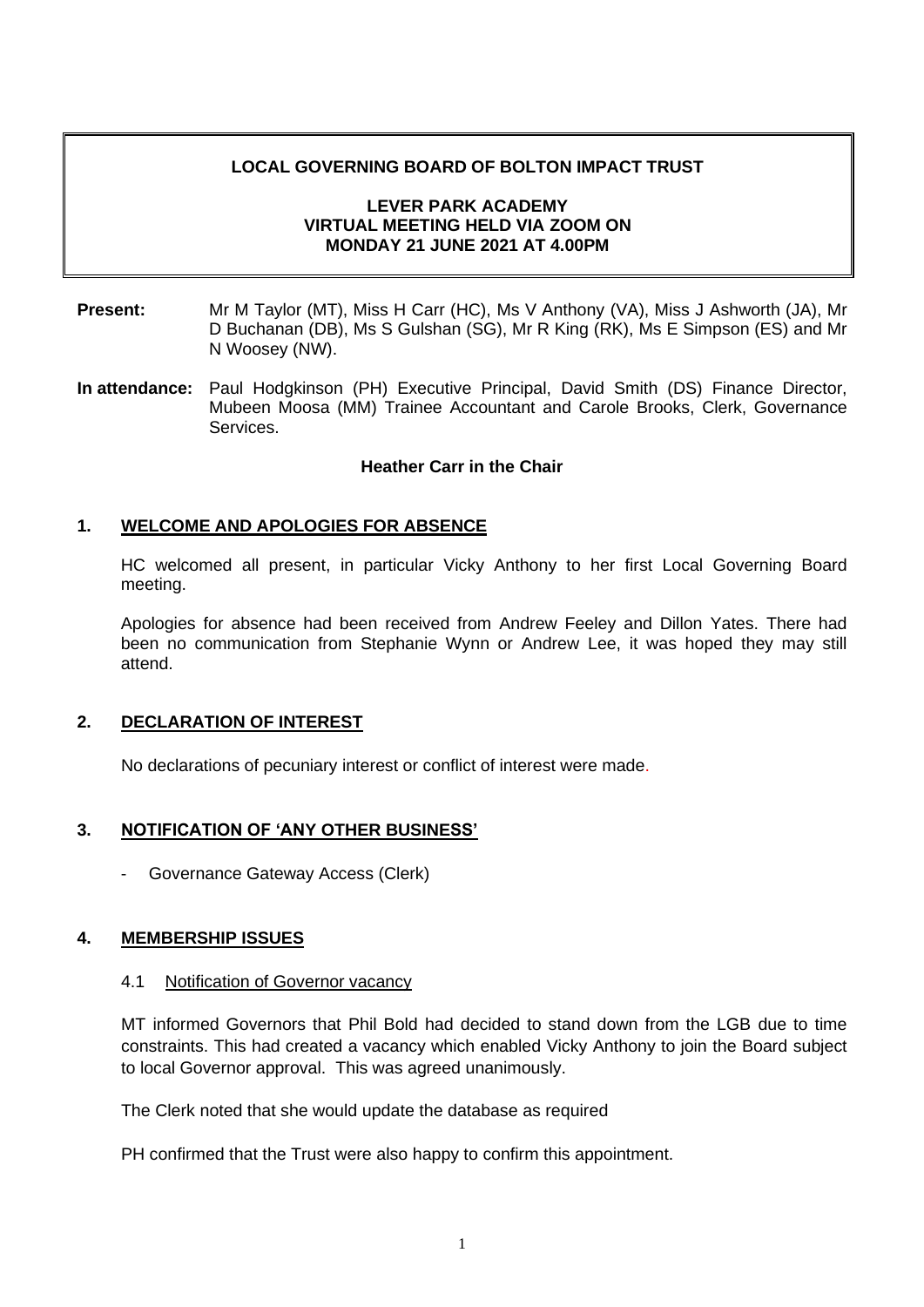### **LOCAL GOVERNING BOARD OF BOLTON IMPACT TRUST**

### **LEVER PARK ACADEMY VIRTUAL MEETING HELD VIA ZOOM ON MONDAY 21 JUNE 2021 AT 4.00PM**

- **Present:** Mr M Taylor (MT), Miss H Carr (HC), Ms V Anthony (VA), Miss J Ashworth (JA), Mr D Buchanan (DB), Ms S Gulshan (SG), Mr R King (RK), Ms E Simpson (ES) and Mr N Woosey (NW).
- **In attendance:** Paul Hodgkinson (PH) Executive Principal, David Smith (DS) Finance Director, Mubeen Moosa (MM) Trainee Accountant and Carole Brooks, Clerk, Governance Services.

#### **Heather Carr in the Chair**

### **1. WELCOME AND APOLOGIES FOR ABSENCE**

HC welcomed all present, in particular Vicky Anthony to her first Local Governing Board meeting.

Apologies for absence had been received from Andrew Feeley and Dillon Yates. There had been no communication from Stephanie Wynn or Andrew Lee, it was hoped they may still attend.

#### **2. DECLARATION OF INTEREST**

No declarations of pecuniary interest or conflict of interest were made.

### **3. NOTIFICATION OF 'ANY OTHER BUSINESS'**

Governance Gateway Access (Clerk)

### **4. MEMBERSHIP ISSUES**

#### 4.1 Notification of Governor vacancy

MT informed Governors that Phil Bold had decided to stand down from the LGB due to time constraints. This had created a vacancy which enabled Vicky Anthony to join the Board subject to local Governor approval. This was agreed unanimously.

The Clerk noted that she would update the database as required

PH confirmed that the Trust were also happy to confirm this appointment.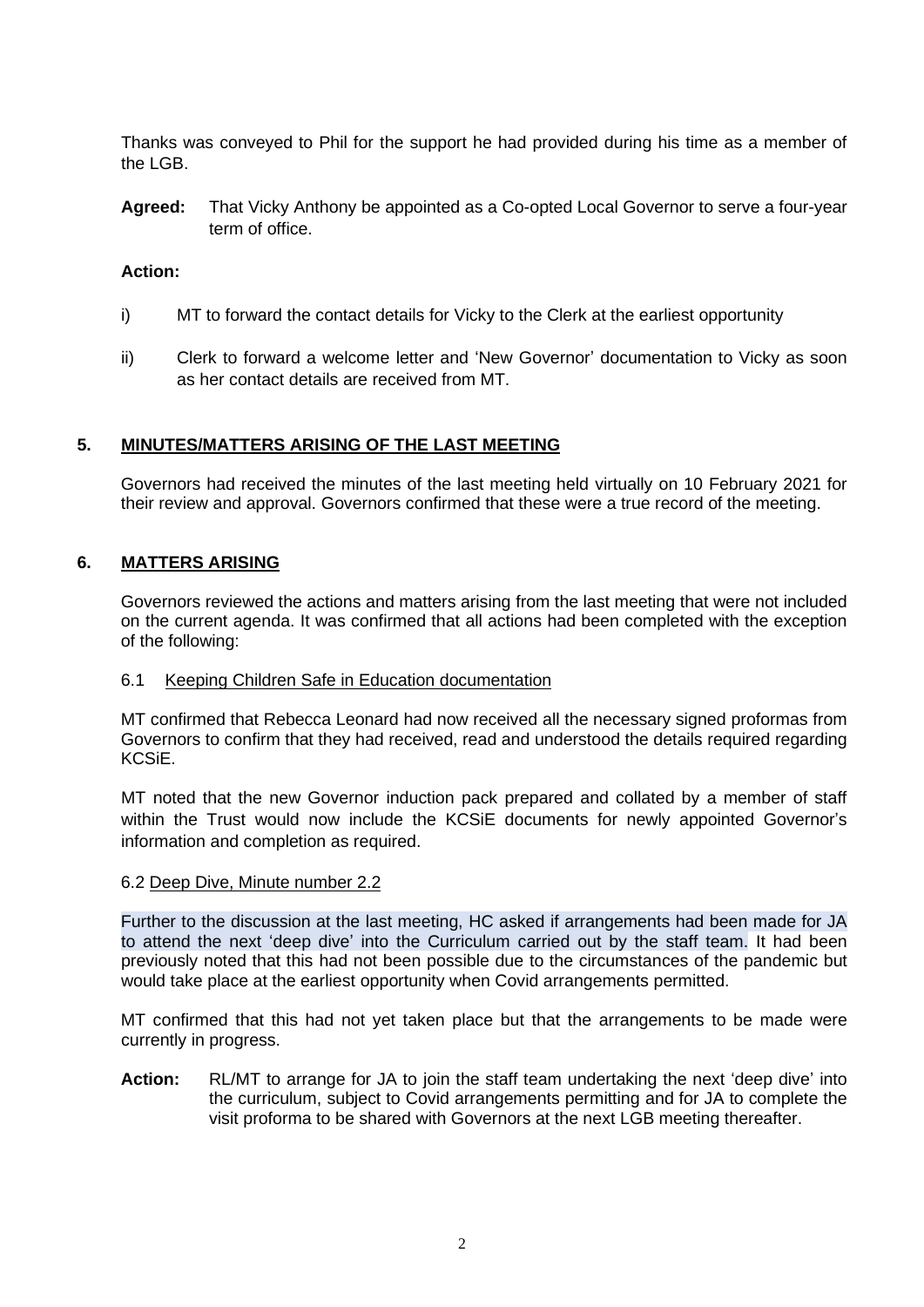Thanks was conveyed to Phil for the support he had provided during his time as a member of the LGB.

**Agreed:** That Vicky Anthony be appointed as a Co-opted Local Governor to serve a four-year term of office.

## **Action:**

- i) MT to forward the contact details for Vicky to the Clerk at the earliest opportunity
- ii) Clerk to forward a welcome letter and 'New Governor' documentation to Vicky as soon as her contact details are received from MT.

## **5. MINUTES/MATTERS ARISING OF THE LAST MEETING**

Governors had received the minutes of the last meeting held virtually on 10 February 2021 for their review and approval. Governors confirmed that these were a true record of the meeting.

## **6. MATTERS ARISING**

Governors reviewed the actions and matters arising from the last meeting that were not included on the current agenda. It was confirmed that all actions had been completed with the exception of the following:

### 6.1 Keeping Children Safe in Education documentation

MT confirmed that Rebecca Leonard had now received all the necessary signed proformas from Governors to confirm that they had received, read and understood the details required regarding KCSiE.

MT noted that the new Governor induction pack prepared and collated by a member of staff within the Trust would now include the KCSiE documents for newly appointed Governor's information and completion as required.

### 6.2 Deep Dive, Minute number 2.2

Further to the discussion at the last meeting, HC asked if arrangements had been made for JA to attend the next 'deep dive' into the Curriculum carried out by the staff team. It had been previously noted that this had not been possible due to the circumstances of the pandemic but would take place at the earliest opportunity when Covid arrangements permitted.

MT confirmed that this had not yet taken place but that the arrangements to be made were currently in progress.

**Action:** RL/MT to arrange for JA to join the staff team undertaking the next 'deep dive' into the curriculum, subject to Covid arrangements permitting and for JA to complete the visit proforma to be shared with Governors at the next LGB meeting thereafter.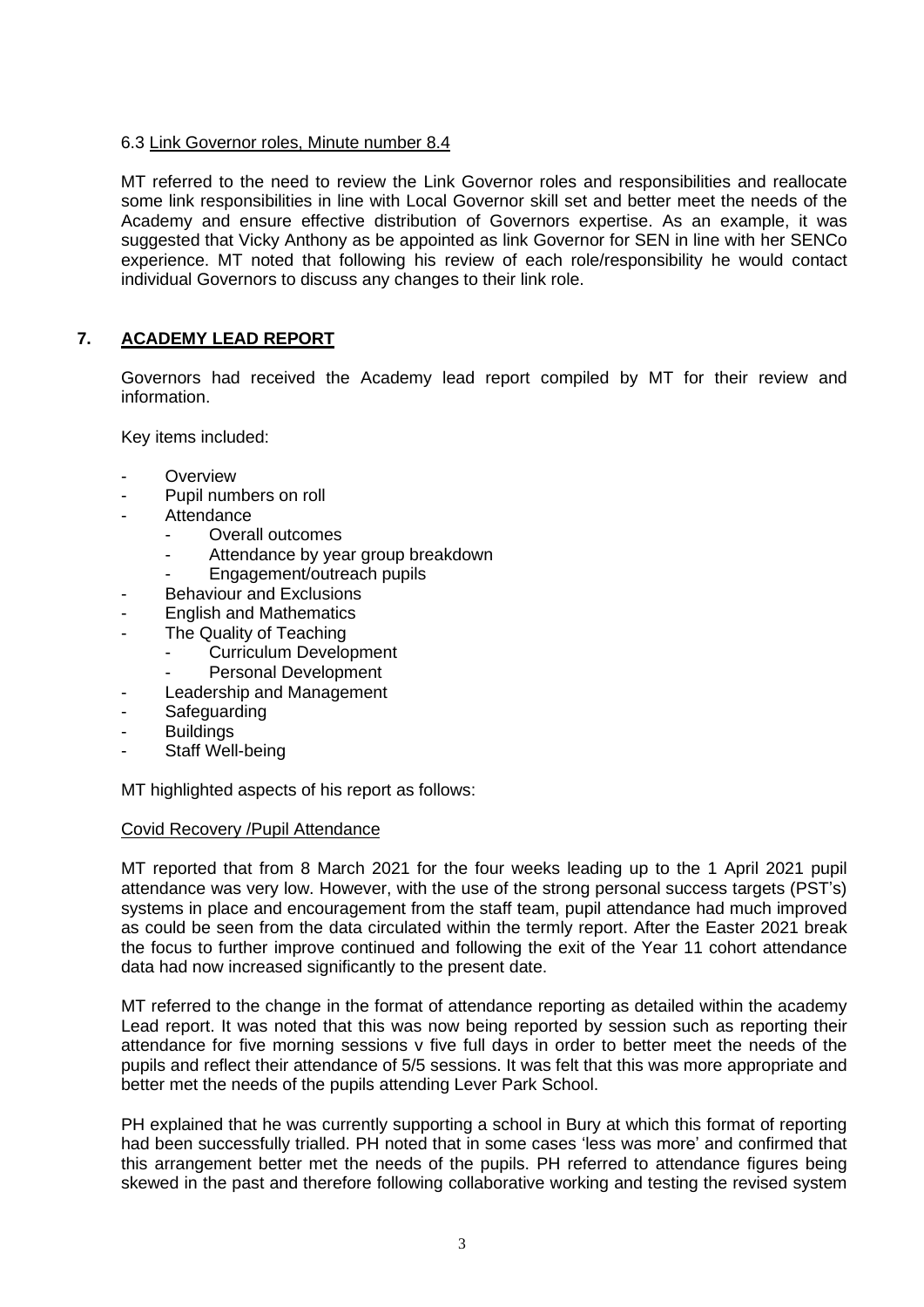## 6.3 Link Governor roles, Minute number 8.4

MT referred to the need to review the Link Governor roles and responsibilities and reallocate some link responsibilities in line with Local Governor skill set and better meet the needs of the Academy and ensure effective distribution of Governors expertise. As an example, it was suggested that Vicky Anthony as be appointed as link Governor for SEN in line with her SENCo experience. MT noted that following his review of each role/responsibility he would contact individual Governors to discuss any changes to their link role.

# **7. ACADEMY LEAD REPORT**

Governors had received the Academy lead report compiled by MT for their review and information.

Key items included:

- **Overview**
- Pupil numbers on roll
- **Attendance** 
	- Overall outcomes
	- Attendance by year group breakdown
	- Engagement/outreach pupils
- Behaviour and Exclusions
- **English and Mathematics**
- The Quality of Teaching
	- Curriculum Development
	- Personal Development
- Leadership and Management
- **Safeguarding**
- **Buildings**
- Staff Well-being

MT highlighted aspects of his report as follows:

#### Covid Recovery /Pupil Attendance

MT reported that from 8 March 2021 for the four weeks leading up to the 1 April 2021 pupil attendance was very low. However, with the use of the strong personal success targets (PST's) systems in place and encouragement from the staff team, pupil attendance had much improved as could be seen from the data circulated within the termly report. After the Easter 2021 break the focus to further improve continued and following the exit of the Year 11 cohort attendance data had now increased significantly to the present date.

MT referred to the change in the format of attendance reporting as detailed within the academy Lead report. It was noted that this was now being reported by session such as reporting their attendance for five morning sessions v five full days in order to better meet the needs of the pupils and reflect their attendance of 5/5 sessions. It was felt that this was more appropriate and better met the needs of the pupils attending Lever Park School.

PH explained that he was currently supporting a school in Bury at which this format of reporting had been successfully trialled. PH noted that in some cases 'less was more' and confirmed that this arrangement better met the needs of the pupils. PH referred to attendance figures being skewed in the past and therefore following collaborative working and testing the revised system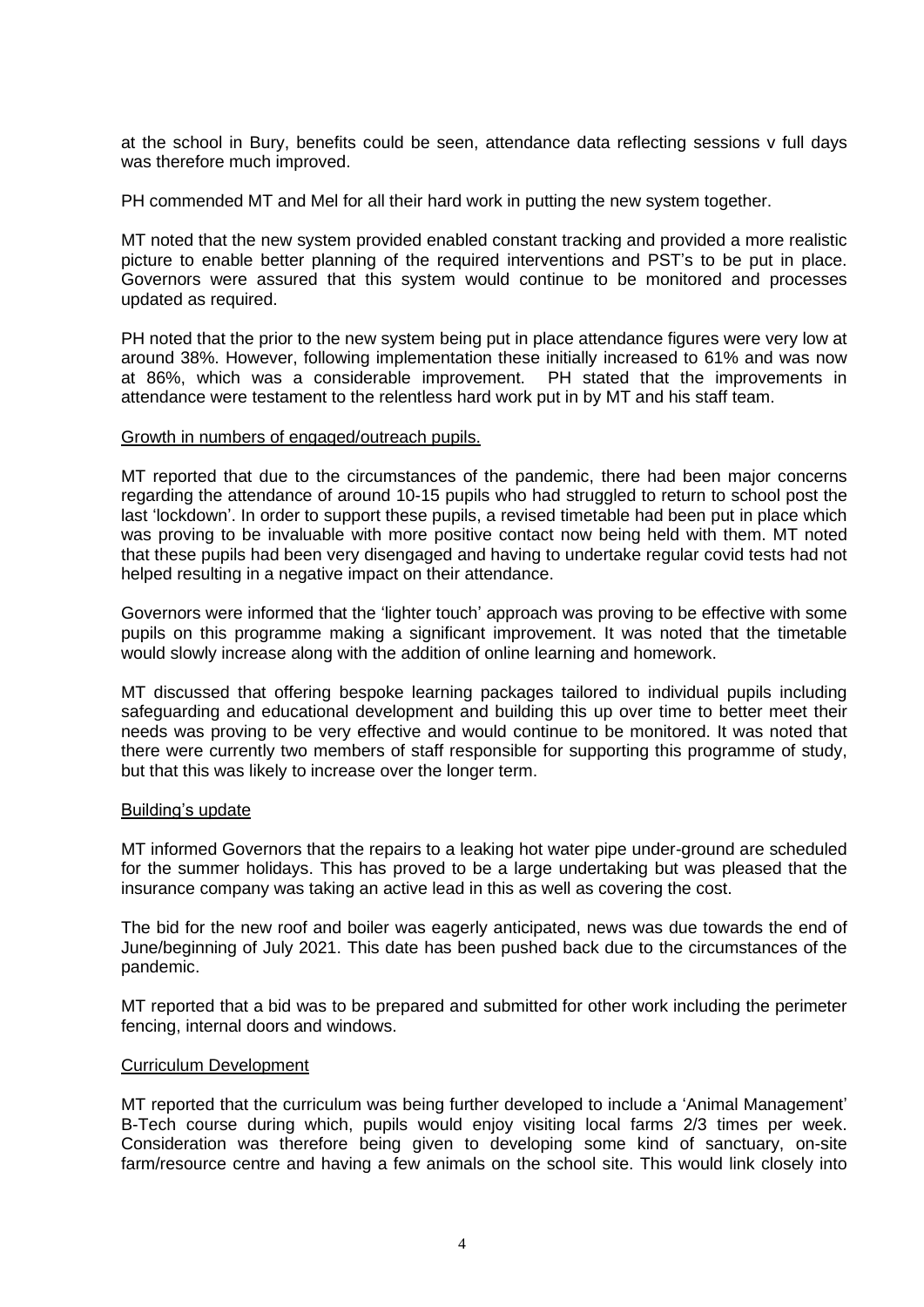at the school in Bury, benefits could be seen, attendance data reflecting sessions v full days was therefore much improved.

PH commended MT and Mel for all their hard work in putting the new system together.

MT noted that the new system provided enabled constant tracking and provided a more realistic picture to enable better planning of the required interventions and PST's to be put in place. Governors were assured that this system would continue to be monitored and processes updated as required.

PH noted that the prior to the new system being put in place attendance figures were very low at around 38%. However, following implementation these initially increased to 61% and was now at 86%, which was a considerable improvement. PH stated that the improvements in attendance were testament to the relentless hard work put in by MT and his staff team.

#### Growth in numbers of engaged/outreach pupils.

MT reported that due to the circumstances of the pandemic, there had been major concerns regarding the attendance of around 10-15 pupils who had struggled to return to school post the last 'lockdown'. In order to support these pupils, a revised timetable had been put in place which was proving to be invaluable with more positive contact now being held with them. MT noted that these pupils had been very disengaged and having to undertake regular covid tests had not helped resulting in a negative impact on their attendance.

Governors were informed that the 'lighter touch' approach was proving to be effective with some pupils on this programme making a significant improvement. It was noted that the timetable would slowly increase along with the addition of online learning and homework.

MT discussed that offering bespoke learning packages tailored to individual pupils including safeguarding and educational development and building this up over time to better meet their needs was proving to be very effective and would continue to be monitored. It was noted that there were currently two members of staff responsible for supporting this programme of study, but that this was likely to increase over the longer term.

#### Building's update

MT informed Governors that the repairs to a leaking hot water pipe under-ground are scheduled for the summer holidays. This has proved to be a large undertaking but was pleased that the insurance company was taking an active lead in this as well as covering the cost.

The bid for the new roof and boiler was eagerly anticipated, news was due towards the end of June/beginning of July 2021. This date has been pushed back due to the circumstances of the pandemic.

MT reported that a bid was to be prepared and submitted for other work including the perimeter fencing, internal doors and windows.

#### Curriculum Development

MT reported that the curriculum was being further developed to include a 'Animal Management' B-Tech course during which, pupils would enjoy visiting local farms 2/3 times per week. Consideration was therefore being given to developing some kind of sanctuary, on-site farm/resource centre and having a few animals on the school site. This would link closely into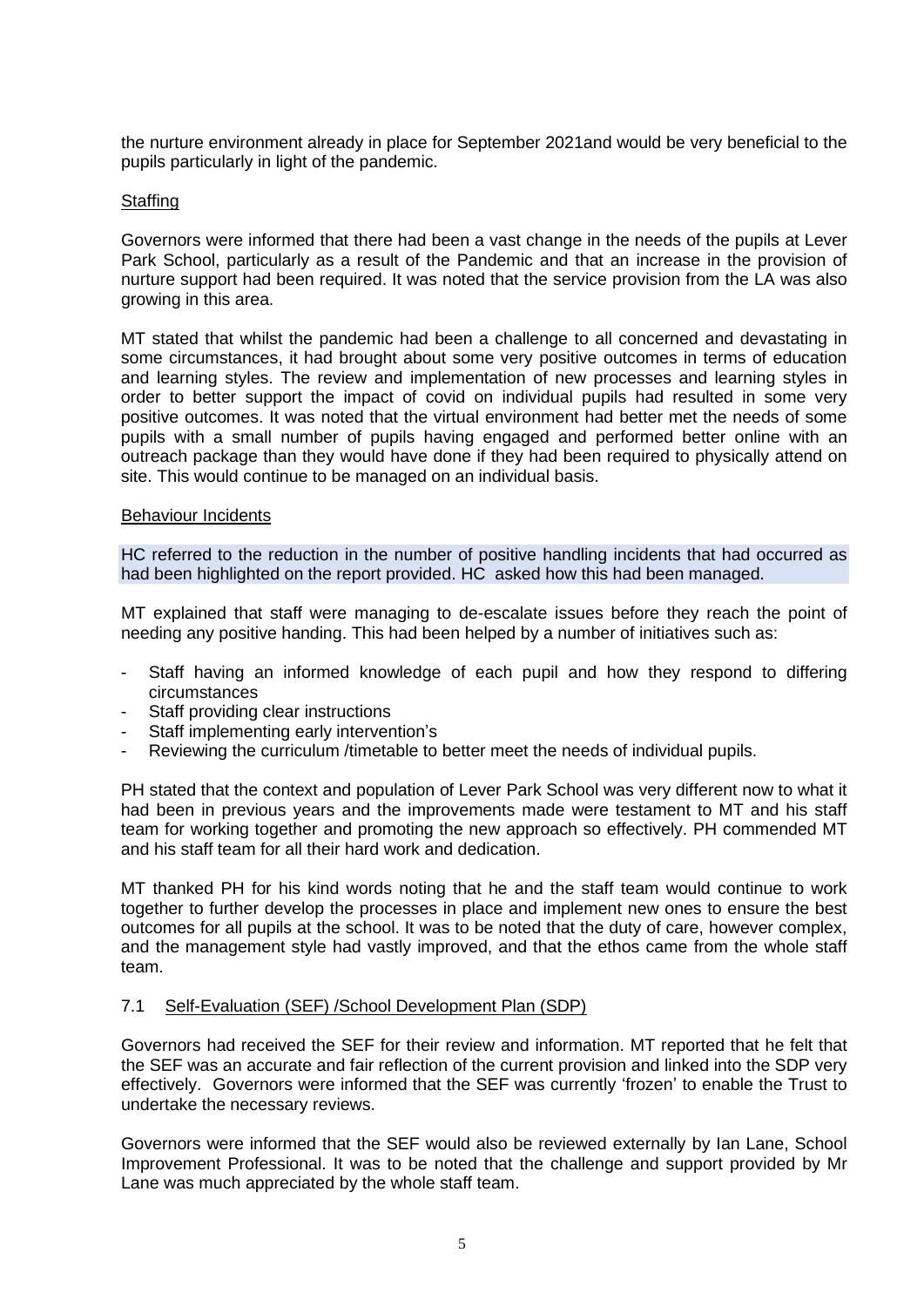the nurture environment already in place for September 2021and would be very beneficial to the pupils particularly in light of the pandemic.

### **Staffing**

Governors were informed that there had been a vast change in the needs of the pupils at Lever Park School, particularly as a result of the Pandemic and that an increase in the provision of nurture support had been required. It was noted that the service provision from the LA was also growing in this area.

MT stated that whilst the pandemic had been a challenge to all concerned and devastating in some circumstances, it had brought about some very positive outcomes in terms of education and learning styles. The review and implementation of new processes and learning styles in order to better support the impact of covid on individual pupils had resulted in some very positive outcomes. It was noted that the virtual environment had better met the needs of some pupils with a small number of pupils having engaged and performed better online with an outreach package than they would have done if they had been required to physically attend on site. This would continue to be managed on an individual basis.

#### Behaviour Incidents

HC referred to the reduction in the number of positive handling incidents that had occurred as had been highlighted on the report provided. HC asked how this had been managed.

MT explained that staff were managing to de-escalate issues before they reach the point of needing any positive handing. This had been helped by a number of initiatives such as:

- Staff having an informed knowledge of each pupil and how they respond to differing circumstances
- Staff providing clear instructions
- Staff implementing early intervention's
- Reviewing the curriculum /timetable to better meet the needs of individual pupils.

PH stated that the context and population of Lever Park School was very different now to what it had been in previous years and the improvements made were testament to MT and his staff team for working together and promoting the new approach so effectively. PH commended MT and his staff team for all their hard work and dedication.

MT thanked PH for his kind words noting that he and the staff team would continue to work together to further develop the processes in place and implement new ones to ensure the best outcomes for all pupils at the school. It was to be noted that the duty of care, however complex, and the management style had vastly improved, and that the ethos came from the whole staff team.

#### 7.1 Self-Evaluation (SEF) /School Development Plan (SDP)

Governors had received the SEF for their review and information. MT reported that he felt that the SEF was an accurate and fair reflection of the current provision and linked into the SDP very effectively. Governors were informed that the SEF was currently 'frozen' to enable the Trust to undertake the necessary reviews.

Governors were informed that the SEF would also be reviewed externally by Ian Lane, School Improvement Professional. It was to be noted that the challenge and support provided by Mr Lane was much appreciated by the whole staff team.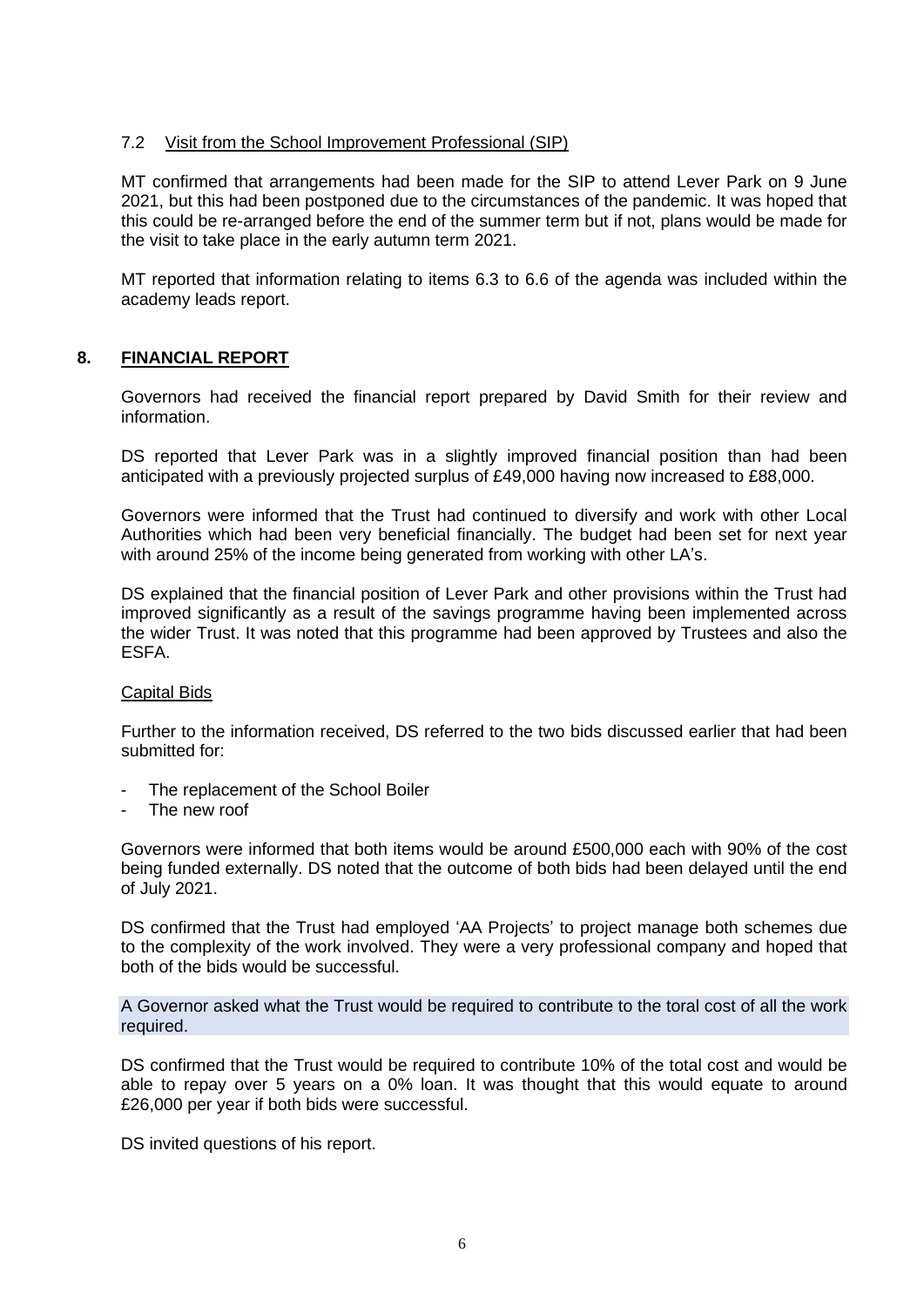## 7.2 Visit from the School Improvement Professional (SIP)

MT confirmed that arrangements had been made for the SIP to attend Lever Park on 9 June 2021, but this had been postponed due to the circumstances of the pandemic. It was hoped that this could be re-arranged before the end of the summer term but if not, plans would be made for the visit to take place in the early autumn term 2021.

MT reported that information relating to items 6.3 to 6.6 of the agenda was included within the academy leads report.

### **8. FINANCIAL REPORT**

Governors had received the financial report prepared by David Smith for their review and information.

DS reported that Lever Park was in a slightly improved financial position than had been anticipated with a previously projected surplus of £49,000 having now increased to £88,000.

Governors were informed that the Trust had continued to diversify and work with other Local Authorities which had been very beneficial financially. The budget had been set for next year with around 25% of the income being generated from working with other LA's.

DS explained that the financial position of Lever Park and other provisions within the Trust had improved significantly as a result of the savings programme having been implemented across the wider Trust. It was noted that this programme had been approved by Trustees and also the ESFA.

#### Capital Bids

Further to the information received, DS referred to the two bids discussed earlier that had been submitted for:

- The replacement of the School Boiler
- The new roof

Governors were informed that both items would be around £500,000 each with 90% of the cost being funded externally. DS noted that the outcome of both bids had been delayed until the end of July 2021.

DS confirmed that the Trust had employed 'AA Projects' to project manage both schemes due to the complexity of the work involved. They were a very professional company and hoped that both of the bids would be successful.

A Governor asked what the Trust would be required to contribute to the toral cost of all the work required.

DS confirmed that the Trust would be required to contribute 10% of the total cost and would be able to repay over 5 years on a 0% loan. It was thought that this would equate to around £26,000 per year if both bids were successful.

DS invited questions of his report.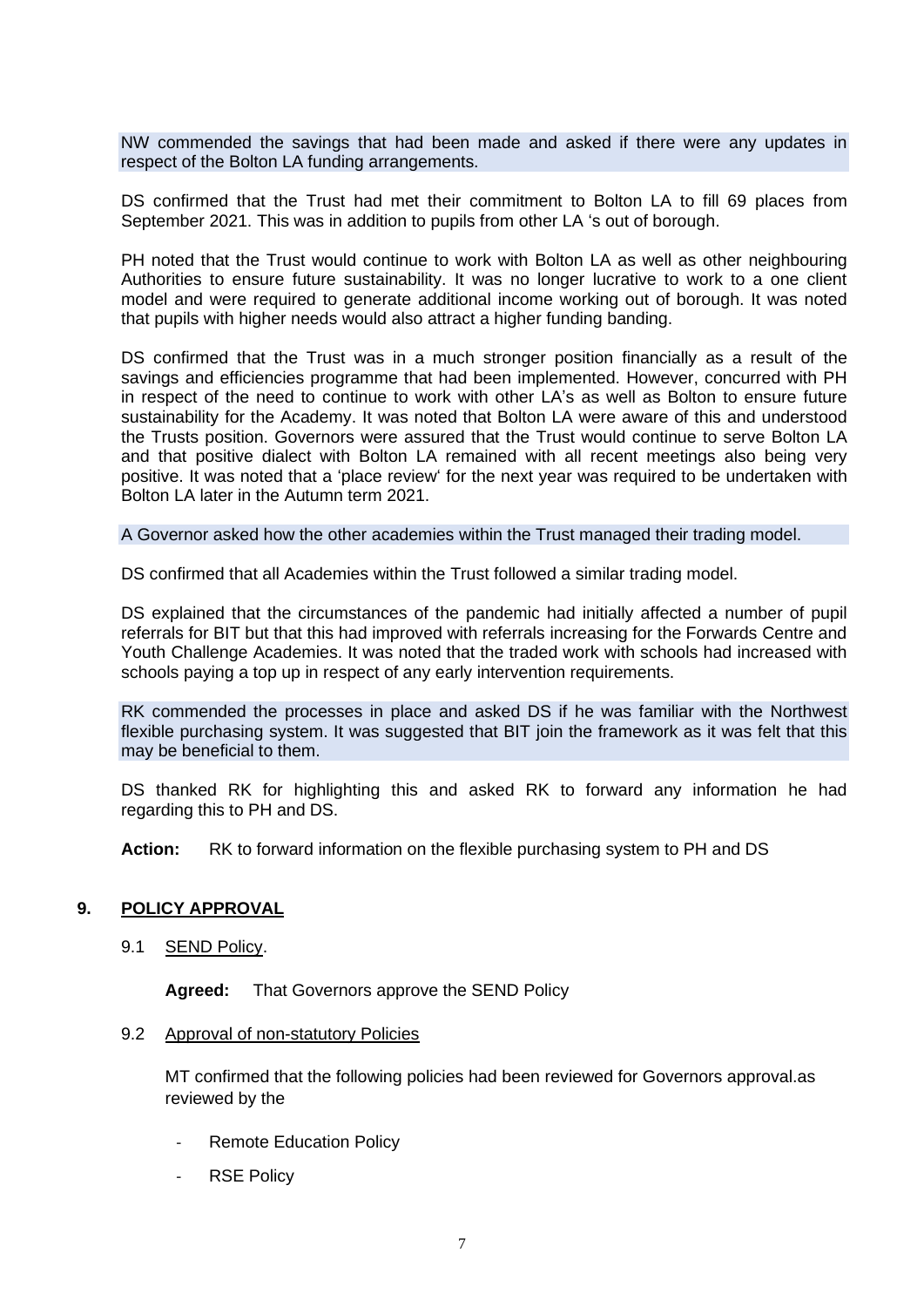NW commended the savings that had been made and asked if there were any updates in respect of the Bolton LA funding arrangements.

DS confirmed that the Trust had met their commitment to Bolton LA to fill 69 places from September 2021. This was in addition to pupils from other LA 's out of borough.

PH noted that the Trust would continue to work with Bolton LA as well as other neighbouring Authorities to ensure future sustainability. It was no longer lucrative to work to a one client model and were required to generate additional income working out of borough. It was noted that pupils with higher needs would also attract a higher funding banding.

DS confirmed that the Trust was in a much stronger position financially as a result of the savings and efficiencies programme that had been implemented. However, concurred with PH in respect of the need to continue to work with other LA's as well as Bolton to ensure future sustainability for the Academy. It was noted that Bolton LA were aware of this and understood the Trusts position. Governors were assured that the Trust would continue to serve Bolton LA and that positive dialect with Bolton LA remained with all recent meetings also being very positive. It was noted that a 'place review' for the next year was required to be undertaken with Bolton LA later in the Autumn term 2021.

A Governor asked how the other academies within the Trust managed their trading model.

DS confirmed that all Academies within the Trust followed a similar trading model.

DS explained that the circumstances of the pandemic had initially affected a number of pupil referrals for BIT but that this had improved with referrals increasing for the Forwards Centre and Youth Challenge Academies. It was noted that the traded work with schools had increased with schools paying a top up in respect of any early intervention requirements.

RK commended the processes in place and asked DS if he was familiar with the Northwest flexible purchasing system. It was suggested that BIT join the framework as it was felt that this may be beneficial to them.

DS thanked RK for highlighting this and asked RK to forward any information he had regarding this to PH and DS.

**Action:** RK to forward information on the flexible purchasing system to PH and DS

### **9. POLICY APPROVAL**

9.1 SEND Policy.

**Agreed:** That Governors approve the SEND Policy

#### 9.2 Approval of non-statutory Policies

MT confirmed that the following policies had been reviewed for Governors approval.as reviewed by the

- Remote Education Policy
- RSE Policy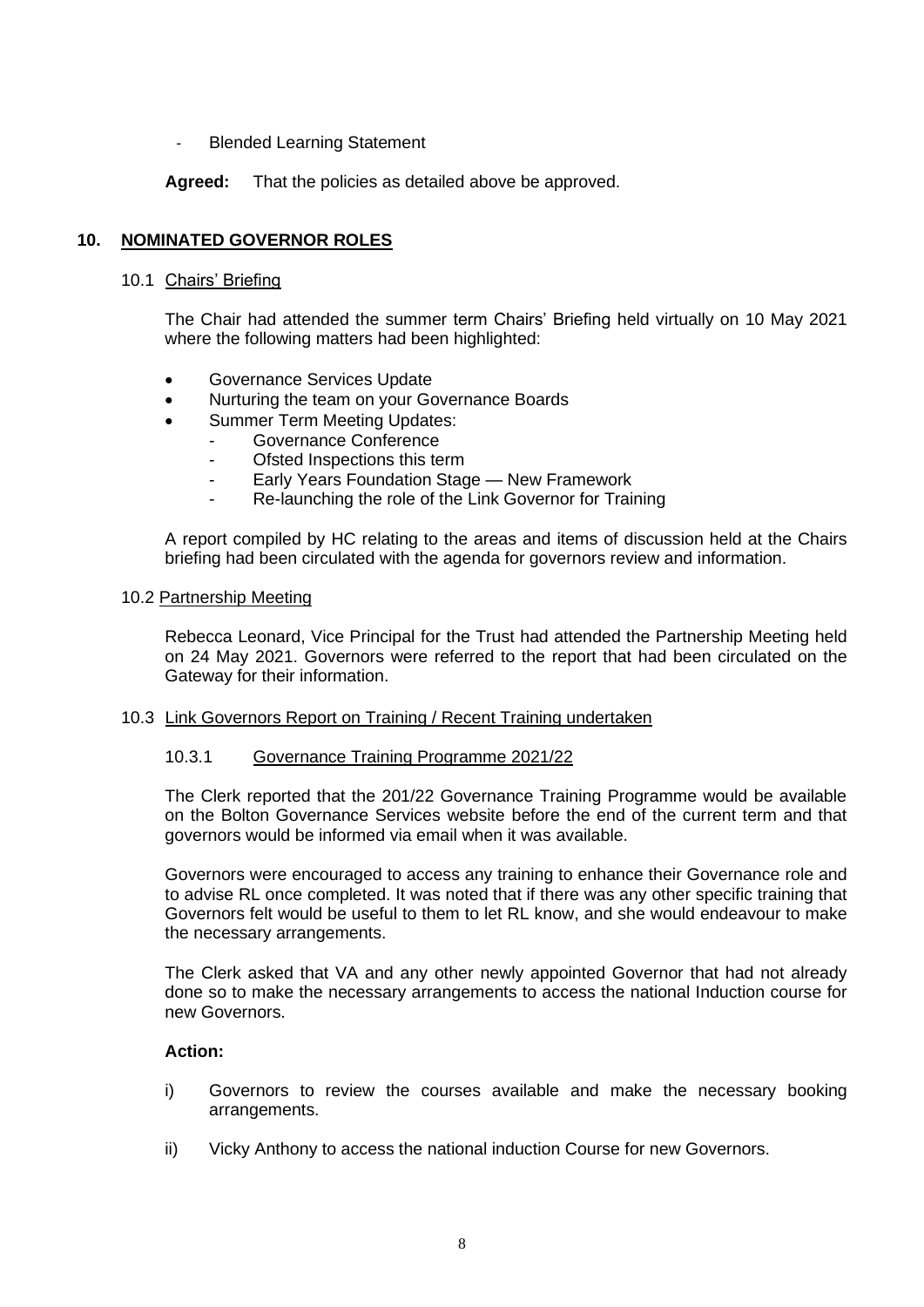- Blended Learning Statement

**Agreed:** That the policies as detailed above be approved.

## **10. NOMINATED GOVERNOR ROLES**

#### 10.1 Chairs' Briefing

The Chair had attended the summer term Chairs' Briefing held virtually on 10 May 2021 where the following matters had been highlighted:

- Governance Services Update
- Nurturing the team on your Governance Boards
- Summer Term Meeting Updates:
	- Governance Conference
	- Ofsted Inspections this term
	- Early Years Foundation Stage New Framework
	- Re-launching the role of the Link Governor for Training

A report compiled by HC relating to the areas and items of discussion held at the Chairs briefing had been circulated with the agenda for governors review and information.

#### 10.2 Partnership Meeting

Rebecca Leonard, Vice Principal for the Trust had attended the Partnership Meeting held on 24 May 2021. Governors were referred to the report that had been circulated on the Gateway for their information.

#### 10.3 Link Governors Report on Training / Recent Training undertaken

#### 10.3.1 Governance Training Programme 2021/22

The Clerk reported that the 201/22 Governance Training Programme would be available on the Bolton Governance Services website before the end of the current term and that governors would be informed via email when it was available.

Governors were encouraged to access any training to enhance their Governance role and to advise RL once completed. It was noted that if there was any other specific training that Governors felt would be useful to them to let RL know, and she would endeavour to make the necessary arrangements.

The Clerk asked that VA and any other newly appointed Governor that had not already done so to make the necessary arrangements to access the national Induction course for new Governors.

#### **Action:**

- i) Governors to review the courses available and make the necessary booking arrangements.
- ii) Vicky Anthony to access the national induction Course for new Governors.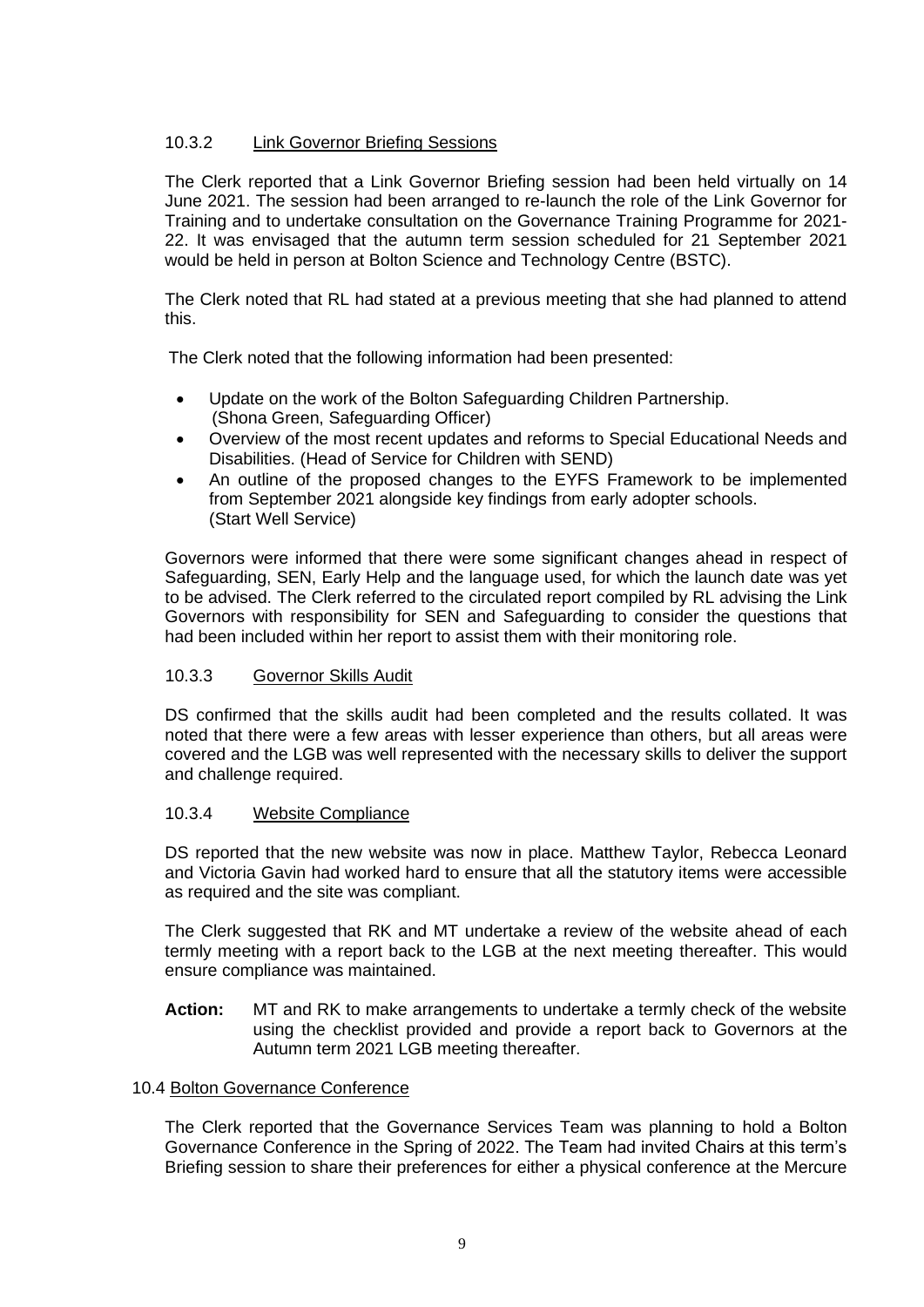# 10.3.2 Link Governor Briefing Sessions

The Clerk reported that a Link Governor Briefing session had been held virtually on 14 June 2021. The session had been arranged to re-launch the role of the Link Governor for Training and to undertake consultation on the Governance Training Programme for 2021- 22. It was envisaged that the autumn term session scheduled for 21 September 2021 would be held in person at Bolton Science and Technology Centre (BSTC).

The Clerk noted that RL had stated at a previous meeting that she had planned to attend this.

The Clerk noted that the following information had been presented:

- Update on the work of the Bolton Safeguarding Children Partnership. (Shona Green, Safeguarding Officer)
- Overview of the most recent updates and reforms to Special Educational Needs and Disabilities. (Head of Service for Children with SEND)
- An outline of the proposed changes to the EYFS Framework to be implemented from September 2021 alongside key findings from early adopter schools. (Start Well Service)

Governors were informed that there were some significant changes ahead in respect of Safeguarding, SEN, Early Help and the language used, for which the launch date was yet to be advised. The Clerk referred to the circulated report compiled by RL advising the Link Governors with responsibility for SEN and Safeguarding to consider the questions that had been included within her report to assist them with their monitoring role.

### 10.3.3 Governor Skills Audit

DS confirmed that the skills audit had been completed and the results collated. It was noted that there were a few areas with lesser experience than others, but all areas were covered and the LGB was well represented with the necessary skills to deliver the support and challenge required.

#### 10.3.4 Website Compliance

DS reported that the new website was now in place. Matthew Taylor, Rebecca Leonard and Victoria Gavin had worked hard to ensure that all the statutory items were accessible as required and the site was compliant.

The Clerk suggested that RK and MT undertake a review of the website ahead of each termly meeting with a report back to the LGB at the next meeting thereafter. This would ensure compliance was maintained.

**Action:** MT and RK to make arrangements to undertake a termly check of the website using the checklist provided and provide a report back to Governors at the Autumn term 2021 LGB meeting thereafter.

#### 10.4 Bolton Governance Conference

The Clerk reported that the Governance Services Team was planning to hold a Bolton Governance Conference in the Spring of 2022. The Team had invited Chairs at this term's Briefing session to share their preferences for either a physical conference at the Mercure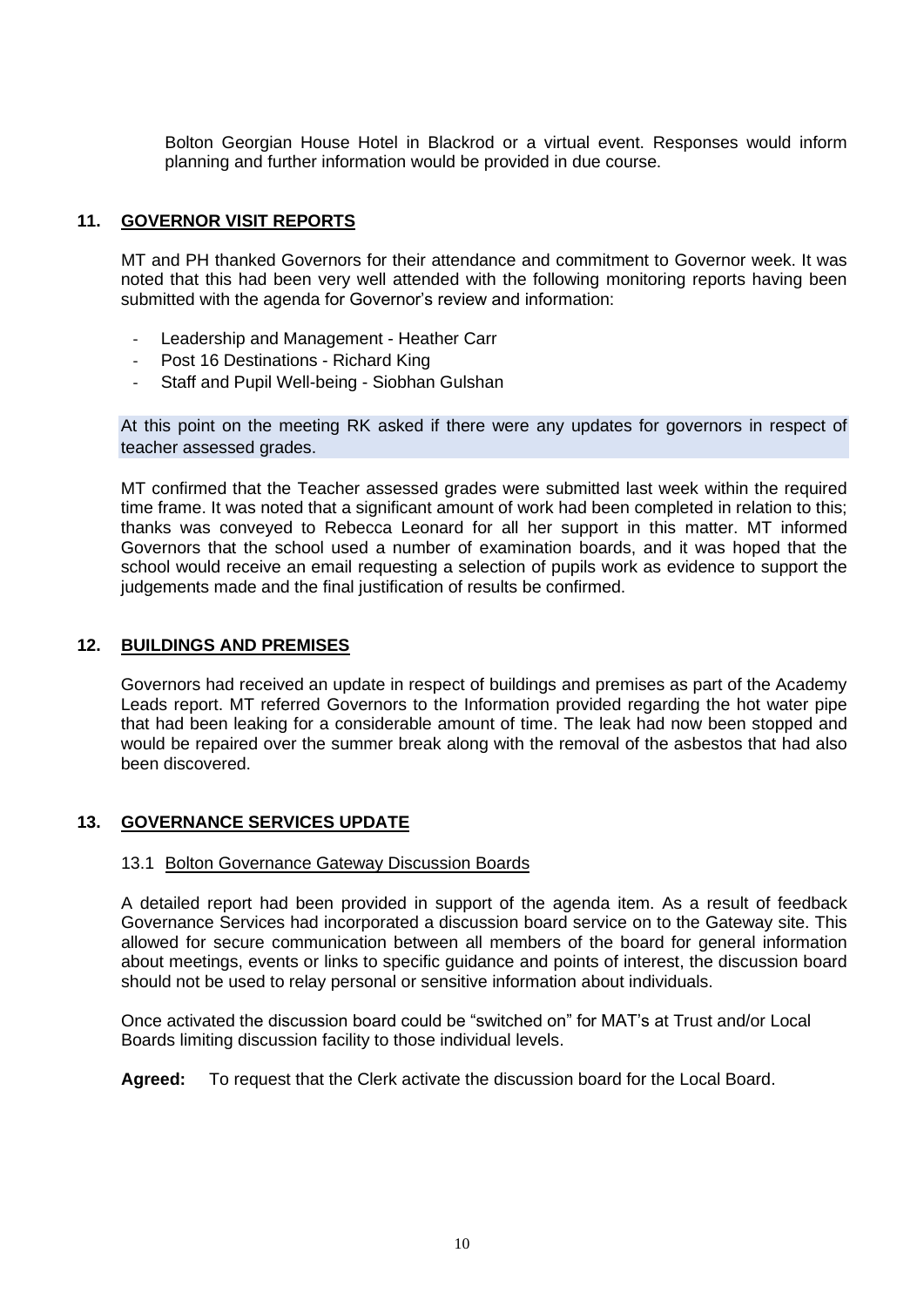Bolton Georgian House Hotel in Blackrod or a virtual event. Responses would inform planning and further information would be provided in due course.

## **11. GOVERNOR VISIT REPORTS**

MT and PH thanked Governors for their attendance and commitment to Governor week. It was noted that this had been very well attended with the following monitoring reports having been submitted with the agenda for Governor's review and information:

- Leadership and Management Heather Carr
- Post 16 Destinations Richard King
- Staff and Pupil Well-being Siobhan Gulshan

At this point on the meeting RK asked if there were any updates for governors in respect of teacher assessed grades.

MT confirmed that the Teacher assessed grades were submitted last week within the required time frame. It was noted that a significant amount of work had been completed in relation to this; thanks was conveyed to Rebecca Leonard for all her support in this matter. MT informed Governors that the school used a number of examination boards, and it was hoped that the school would receive an email requesting a selection of pupils work as evidence to support the judgements made and the final justification of results be confirmed.

#### **12. BUILDINGS AND PREMISES**

Governors had received an update in respect of buildings and premises as part of the Academy Leads report. MT referred Governors to the Information provided regarding the hot water pipe that had been leaking for a considerable amount of time. The leak had now been stopped and would be repaired over the summer break along with the removal of the asbestos that had also been discovered.

### **13. GOVERNANCE SERVICES UPDATE**

### 13.1 Bolton Governance Gateway Discussion Boards

A detailed report had been provided in support of the agenda item. As a result of feedback Governance Services had incorporated a discussion board service on to the Gateway site. This allowed for secure communication between all members of the board for general information about meetings, events or links to specific guidance and points of interest, the discussion board should not be used to relay personal or sensitive information about individuals.

Once activated the discussion board could be "switched on" for MAT's at Trust and/or Local Boards limiting discussion facility to those individual levels.

**Agreed:** To request that the Clerk activate the discussion board for the Local Board.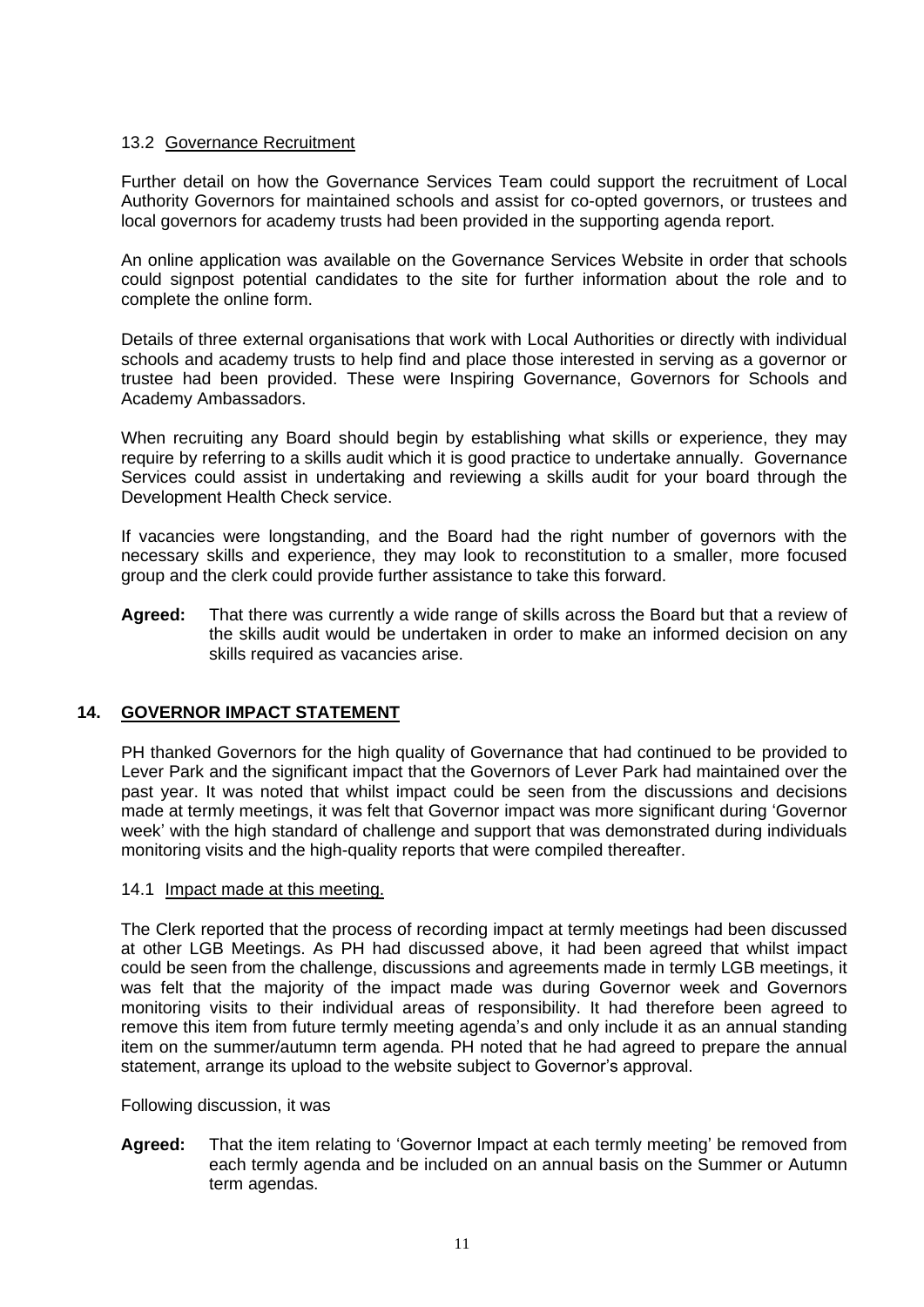## 13.2 Governance Recruitment

Further detail on how the Governance Services Team could support the recruitment of Local Authority Governors for maintained schools and assist for co-opted governors, or trustees and local governors for academy trusts had been provided in the supporting agenda report.

An online application was available on the Governance Services Website in order that schools could signpost potential candidates to the site for further information about the role and to complete the online form.

Details of three external organisations that work with Local Authorities or directly with individual schools and academy trusts to help find and place those interested in serving as a governor or trustee had been provided. These were Inspiring Governance, Governors for Schools and Academy Ambassadors.

When recruiting any Board should begin by establishing what skills or experience, they may require by referring to a skills audit which it is good practice to undertake annually. Governance Services could assist in undertaking and reviewing a skills audit for your board through the Development Health Check service.

If vacancies were longstanding, and the Board had the right number of governors with the necessary skills and experience, they may look to reconstitution to a smaller, more focused group and the clerk could provide further assistance to take this forward.

**Agreed:** That there was currently a wide range of skills across the Board but that a review of the skills audit would be undertaken in order to make an informed decision on any skills required as vacancies arise.

# **14. GOVERNOR IMPACT STATEMENT**

PH thanked Governors for the high quality of Governance that had continued to be provided to Lever Park and the significant impact that the Governors of Lever Park had maintained over the past year. It was noted that whilst impact could be seen from the discussions and decisions made at termly meetings, it was felt that Governor impact was more significant during 'Governor week' with the high standard of challenge and support that was demonstrated during individuals monitoring visits and the high-quality reports that were compiled thereafter.

#### 14.1 Impact made at this meeting.

The Clerk reported that the process of recording impact at termly meetings had been discussed at other LGB Meetings. As PH had discussed above, it had been agreed that whilst impact could be seen from the challenge, discussions and agreements made in termly LGB meetings, it was felt that the majority of the impact made was during Governor week and Governors monitoring visits to their individual areas of responsibility. It had therefore been agreed to remove this item from future termly meeting agenda's and only include it as an annual standing item on the summer/autumn term agenda. PH noted that he had agreed to prepare the annual statement, arrange its upload to the website subject to Governor's approval.

Following discussion, it was

**Agreed:** That the item relating to 'Governor Impact at each termly meeting' be removed from each termly agenda and be included on an annual basis on the Summer or Autumn term agendas.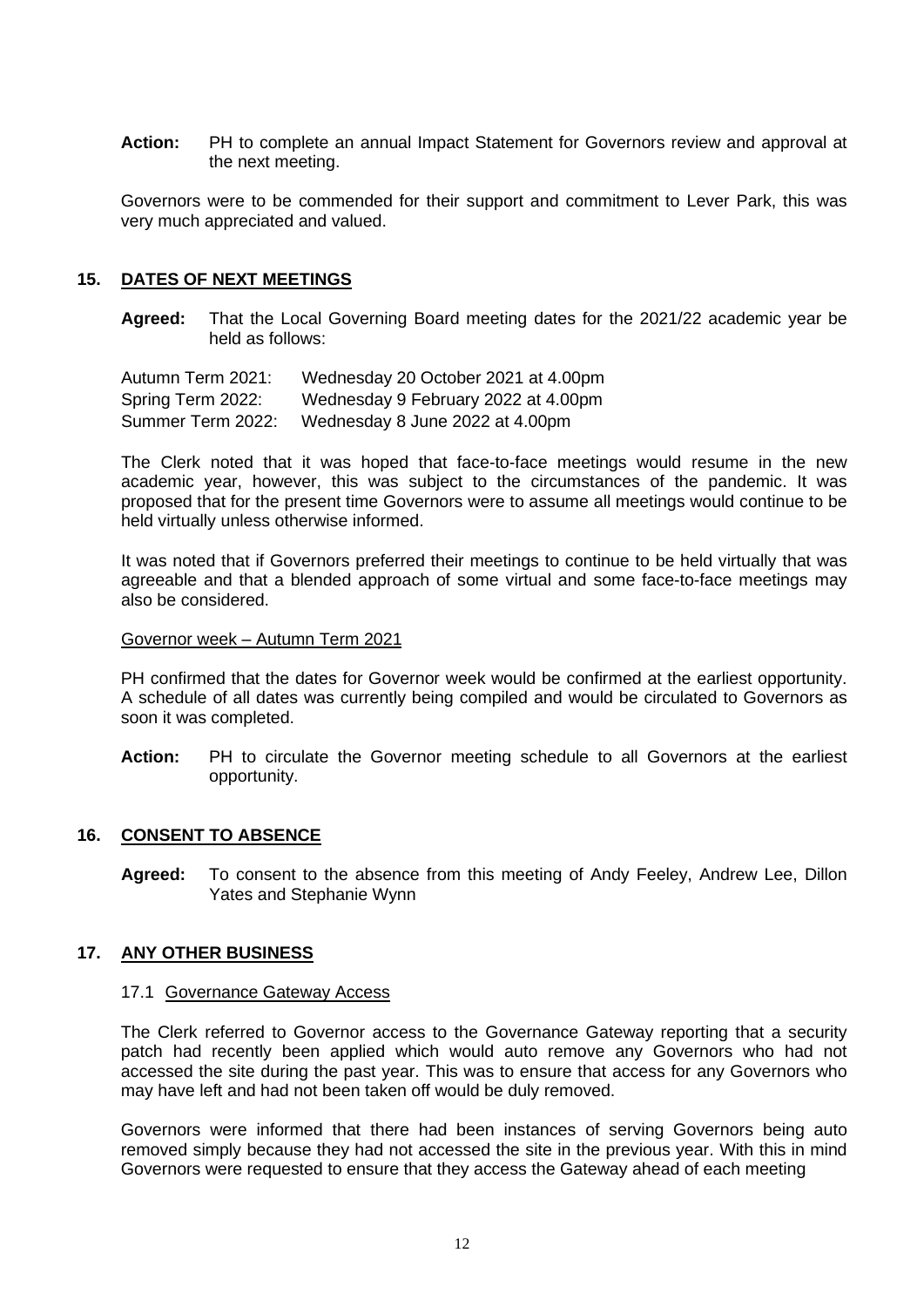**Action:** PH to complete an annual Impact Statement for Governors review and approval at the next meeting.

Governors were to be commended for their support and commitment to Lever Park, this was very much appreciated and valued.

## **15. DATES OF NEXT MEETINGS**

**Agreed:** That the Local Governing Board meeting dates for the 2021/22 academic year be held as follows:

Autumn Term 2021: Wednesday 20 October 2021 at 4.00pm Spring Term 2022: Wednesday 9 February 2022 at 4.00pm Summer Term 2022: Wednesday 8 June 2022 at 4.00pm

The Clerk noted that it was hoped that face-to-face meetings would resume in the new academic year, however, this was subject to the circumstances of the pandemic. It was proposed that for the present time Governors were to assume all meetings would continue to be held virtually unless otherwise informed.

It was noted that if Governors preferred their meetings to continue to be held virtually that was agreeable and that a blended approach of some virtual and some face-to-face meetings may also be considered.

#### Governor week – Autumn Term 2021

PH confirmed that the dates for Governor week would be confirmed at the earliest opportunity. A schedule of all dates was currently being compiled and would be circulated to Governors as soon it was completed.

**Action:** PH to circulate the Governor meeting schedule to all Governors at the earliest opportunity.

### **16. CONSENT TO ABSENCE**

**Agreed:** To consent to the absence from this meeting of Andy Feeley, Andrew Lee, Dillon Yates and Stephanie Wynn

### **17. ANY OTHER BUSINESS**

#### 17.1 Governance Gateway Access

The Clerk referred to Governor access to the Governance Gateway reporting that a security patch had recently been applied which would auto remove any Governors who had not accessed the site during the past year. This was to ensure that access for any Governors who may have left and had not been taken off would be duly removed.

Governors were informed that there had been instances of serving Governors being auto removed simply because they had not accessed the site in the previous year. With this in mind Governors were requested to ensure that they access the Gateway ahead of each meeting